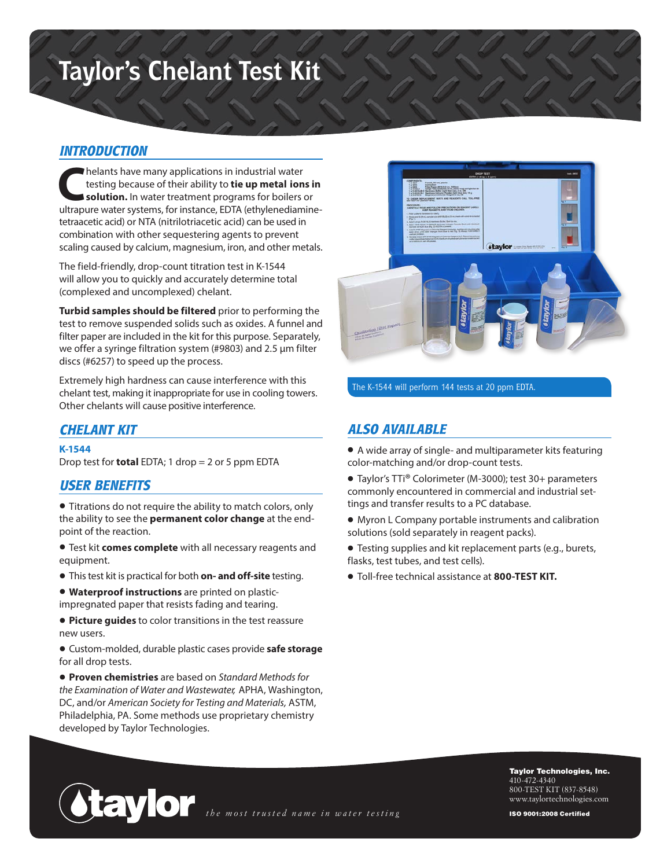# **Taylor's Chelant Test Kit**

### *INTRODUCTION*

**C**helants have many applications in industrial water testing because of their ability to **tie up metal ions in solution.** In water treatment programs for boilers or ultrapure water systems, for instance, EDTA (ethylenediaminetetraacetic acid) or NTA (nitrilotriacetic acid) can be used in combination with other sequestering agents to prevent scaling caused by calcium, magnesium, iron, and other metals.

The field-friendly, drop-count titration test in K-1544 will allow you to quickly and accurately determine total (complexed and uncomplexed) chelant.

**Turbid samples should be filtered** prior to performing the test to remove suspended solids such as oxides. A funnel and filter paper are included in the kit for this purpose. Separately, we offer a syringe filtration system (#9803) and 2.5 µm filter discs (#6257) to speed up the process.

Extremely high hardness can cause interference with this chelant test, making it inappropriate for use in cooling towers. Other chelants will cause positive interference.

## *CHELANT KIT*

#### **K-1544**

Drop test for **total** EDTA; 1 drop = 2 or 5 ppm EDTA

#### *USER BENEFITS*

• Titrations do not require the ability to match colors, only the ability to see the **permanent color change** at the endpoint of the reaction.

• Test kit **comes complete** with all necessary reagents and equipment.

- This test kit is practical for both **on- and off-site** testing.
- **Waterproof instructions** are printed on plasticimpregnated paper that resists fading and tearing.

• **Picture guides** to color transitions in the test reassure new users.

• Custom-molded, durable plastic cases provide **safe storage** for all drop tests.

• **Proven chemistries** are based on *Standard Methods for the Examination of Water and Wastewater,* APHA, Washington, DC, and/or *American Society for Testing and Materials,* ASTM, Philadelphia, PA. Some methods use proprietary chemistry developed by Taylor Technologies.



The K-1544 will perform 144 tests at 20 ppm EDTA.

#### *ALSO AVAILABLE*

• A wide array of single- and multiparameter kits featuring color-matching and/or drop-count tests.

• Taylor's TTi® Colorimeter (M-3000); test 30+ parameters commonly encountered in commercial and industrial settings and transfer results to a PC database.

- Myron L Company portable instruments and calibration solutions (sold separately in reagent packs).
- Testing supplies and kit replacement parts (e.g., burets, flasks, test tubes, and test cells).
- Toll-free technical assistance at **800-TEST KIT.**



Taylor Technologies, Inc. 410-472-4340 800-TEST KIT (837-8548) www.taylortechnologies.com

ISO 9001:2008 Certified